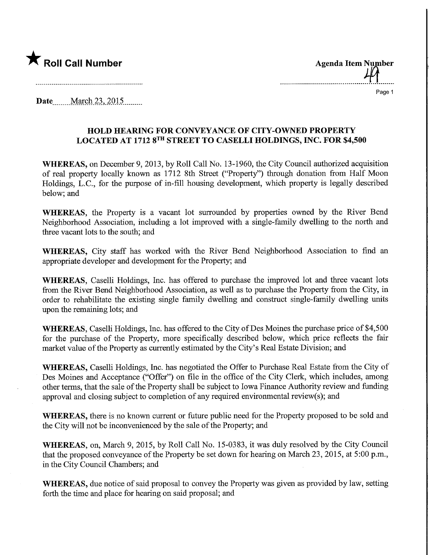

Roll Call Number<br>Agenda Item Number<br>A Page 1

Date ........March 23,.2015,

## HOLD HEARING FOR CONVEYANCE OF CITY-OWNED PROPERTY LOCATED AT 1712 8™ STREET TO CASELLI HOLDINGS, JNC. FOR \$4,500

WHEREAS, on December 9, 2013, by Roll Call No. 13-1960, the City Council authorized acquisition of real property locally known as 1712 8th Street ("Property") through donation from Half Moon Holdings, L.C., for the purpose of in-fill housing development, which property is legally described below; and

WHEREAS, the Property is a vacant lot surrounded by properties owned by the River Bend Neighborhood Association, including a lot improved with a single-family dwelling to the north and three vacant lots to the south; and

WHEREAS, City staff has worked with the River Bend Neighborhood Association to find an appropriate developer and development for the Property; and

WHEREAS, Caselli Holdings, Inc. has offered to purchase the improved lot and three vacant lots from the River Bend Neighborhood Association, as well as to purchase the Property from the City, in order to rehabilitate the existing single family dwelling and construct single-family dwelling units upon the remaining lots; and

WHEREAS, Caselli Holdings, Inc. has offered to the City of Des Moines the purchase price of \$4,500 for the purchase of the Property, more specifically described below, which price reflects the fair market value of the Property as currently estimated by the City's Real Estate Division; and

WHEREAS, Caselli Holdings, Inc. has negotiated the Offer to Purchase Real Estate from the City of Des Moines and Acceptance ("Offer") on file in the office of the City Clerk, which includes, among other terms, that the sale of the Property shall be subject to Iowa Finance Authority review and funding approval and closing subject to completion of any required environmental review(s); and

WHEREAS, there is no known current or future public need for the Property proposed to be sold and the City will not be inconvenienced by the sale of the Property; and

WHEREAS, on, March 9, 2015, by Roll Call No. 15-0383, it was duly resolved by the City Council that the proposed conveyance of the Property be set down for hearing on March 23, 2015, at 5:00 p.m., in the City Council Chambers; and

WHEREAS, due notice of said proposal to convey the Property was given as provided by law, setting forth the time and place for hearing on said proposal; and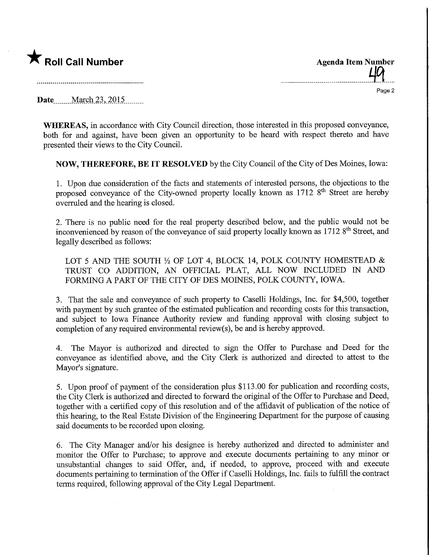## $\bigstar$  Roll Call Number

Page 2

Date........March.23,.2015.

WHEREAS, in accordance with City Council direction, those interested in this proposed conveyance, both for and against, have been given an opportunity to be heard with respect thereto and have presented their views to the City Council.

NOW, THEREFORE, BE IT RESOLVED by the City Council of the City of Des Moines, Iowa:

1. Upon due consideration of the facts and statements of interested persons, the objections to the proposed conveyance of the City-owned property locally known as 1712 8<sup>th</sup> Street are hereby overruled and the hearing is closed.

2. There is no public need for the real property described below, and the public would not be inconvenienced by reason of the conveyance of said property locally known as 1712 8<sup>th</sup> Street, and legally described as follows:

LOT 5 AND THE SOUTH  $\frac{1}{2}$  OF LOT 4, BLOCK 14, POLK COUNTY HOMESTEAD & TRUST CO ADDITION, AN OFFICIAL PLAT, ALL NOW INCLUDED IN AND FORMING A PART OF THE CITY OF DES MOINES, POLK COUNTY, IOWA.

3. That the sale and conveyance of such property to Caselli Holdings, Inc. for \$4,500, together with payment by such grantee of the estimated publication and recording costs for this transaction, and subject to Iowa Finance Authority review and funding approval with closing subject to completion of any required environmental review(s), be and is hereby approved.

4. The Mayor is authorized and directed to sign the Offer to Purchase and Deed for the conveyance as identified above, and the City Clerk is authorized and directed to attest to the Mayor's signature.

5. Upon proof of payment of the consideration plus \$113.00 for publication and recording costs, the City Clerk is authorized and directed to forward the original of the Offer to Purchase and Deed, together with a certified copy of this resolution and of the affidavit of publication of the notice of this hearing, to the Real Estate Division of the Engineering Department for the purpose of causing said documents to be recorded upon closing.

6. The City Manager and/or his designee is hereby authorized and directed to administer and monitor the Offer to Purchase; to approve and execute documents pertaining to any minor or unsubstantial changes to said Offer, and, if needed, to approve, proceed with and execute documents pertaining to termination of the Offer if Caselli Holdings, Inc. fails to fulfill the contract terms required, following approval of the City Legal Department.